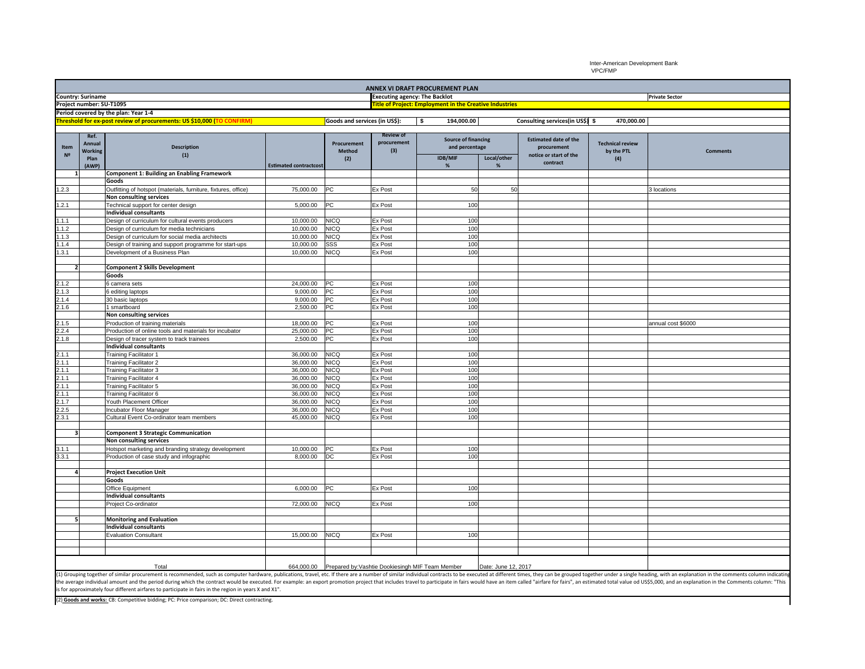Inter-American Development Bank VPC/FMP

| ANNEX VI DRAFT PROCUREMENT PLAN                                                                                                                                                                                                |                |                                                                        |                               |                               |                                                                |                                              |             |                                             |                         |                       |
|--------------------------------------------------------------------------------------------------------------------------------------------------------------------------------------------------------------------------------|----------------|------------------------------------------------------------------------|-------------------------------|-------------------------------|----------------------------------------------------------------|----------------------------------------------|-------------|---------------------------------------------|-------------------------|-----------------------|
| <b>Country: Suriname</b>                                                                                                                                                                                                       |                |                                                                        |                               |                               | <b>Executing agency: The Backlot</b>                           |                                              |             |                                             |                         | <b>Private Sector</b> |
| Project number: SU-T1095                                                                                                                                                                                                       |                |                                                                        |                               |                               | <b>Title of Project: Employment in the Creative Industries</b> |                                              |             |                                             |                         |                       |
| Period covered by the plan: Year 1-4                                                                                                                                                                                           |                |                                                                        |                               |                               |                                                                |                                              |             |                                             |                         |                       |
|                                                                                                                                                                                                                                |                | Threshold for ex-post review of procurements: US \$10,000 (TO CONFIRM) |                               | Goods and services (in US\$): |                                                                | 194,000.00<br>- \$                           |             | Consulting services(in US\$) \$             | 470,000.00              |                       |
|                                                                                                                                                                                                                                |                |                                                                        |                               |                               |                                                                |                                              |             |                                             |                         |                       |
| Item                                                                                                                                                                                                                           | Ref.<br>Annual | <b>Description</b>                                                     |                               | Procurement                   | <b>Review of</b><br>procurement                                | <b>Source of financing</b><br>and percentage |             | <b>Estimated date of the</b><br>procurement | <b>Technical review</b> |                       |
| N <sup>2</sup>                                                                                                                                                                                                                 | <b>Working</b> | (1)                                                                    |                               | Method                        | (3)                                                            |                                              | Local/other | notice or start of the<br>contract          | by the PTL<br>(4)       | <b>Comments</b>       |
|                                                                                                                                                                                                                                | Plan           |                                                                        |                               | (2)                           |                                                                | <b>IDB/MIF</b>                               |             |                                             |                         |                       |
|                                                                                                                                                                                                                                | (AWP)          |                                                                        | <b>Estimated contractcost</b> |                               |                                                                | %                                            | %           |                                             |                         |                       |
| $\mathbf{1}$                                                                                                                                                                                                                   |                | <b>Component 1: Building an Enabling Framework</b><br>Goods            |                               |                               |                                                                |                                              |             |                                             |                         |                       |
|                                                                                                                                                                                                                                |                |                                                                        |                               |                               |                                                                | 50                                           |             |                                             |                         |                       |
| 1.2.3                                                                                                                                                                                                                          |                | Outfitting of hotspot (materials, furniture, fixtures, office)         | 75,000.00                     | PC                            | Ex Post                                                        |                                              | 50          |                                             |                         | 3 locations           |
|                                                                                                                                                                                                                                |                | Non consulting services                                                |                               |                               |                                                                |                                              |             |                                             |                         |                       |
| 1.2.1                                                                                                                                                                                                                          |                | Technical support for center design                                    | 5,000.00                      | PC                            | Ex Post                                                        | 100                                          |             |                                             |                         |                       |
|                                                                                                                                                                                                                                |                | <b>Individual consultants</b>                                          |                               |                               |                                                                |                                              |             |                                             |                         |                       |
| 1.1.1                                                                                                                                                                                                                          |                | Design of curriculum for cultural events producers                     | 10,000.00                     | <b>NICQ</b>                   | Ex Post                                                        | 100                                          |             |                                             |                         |                       |
| .1.2                                                                                                                                                                                                                           |                | Design of curriculum for media technicians                             | 10,000.00                     | NICQ                          | Ex Post                                                        | 100                                          |             |                                             |                         |                       |
| 1.1.3                                                                                                                                                                                                                          |                | Design of curriculum for social media architects                       | 10,000.00                     | NICQ                          | Ex Post                                                        | 100                                          |             |                                             |                         |                       |
| .1.4                                                                                                                                                                                                                           |                | Design of training and support programme for start-ups                 | 10,000.00                     | SSS                           | Ex Post                                                        | 100                                          |             |                                             |                         |                       |
| .3.1                                                                                                                                                                                                                           |                | Development of a Business Plan                                         | 10,000.00                     | <b>NICQ</b>                   | Ex Post                                                        | 100                                          |             |                                             |                         |                       |
|                                                                                                                                                                                                                                |                |                                                                        |                               |                               |                                                                |                                              |             |                                             |                         |                       |
| $\overline{\mathbf{2}}$                                                                                                                                                                                                        |                | <b>Component 2 Skills Development</b>                                  |                               |                               |                                                                |                                              |             |                                             |                         |                       |
|                                                                                                                                                                                                                                |                | Goods                                                                  |                               |                               |                                                                |                                              |             |                                             |                         |                       |
| 2.1.2                                                                                                                                                                                                                          |                | 6 camera sets                                                          | 24,000.00                     | PC                            | Ex Post                                                        | 100                                          |             |                                             |                         |                       |
| 2.1.3                                                                                                                                                                                                                          |                | 6 editing laptops                                                      | 9,000.00                      | РC                            | Ex Post                                                        | 100                                          |             |                                             |                         |                       |
| 2.1.4                                                                                                                                                                                                                          |                | 30 basic laptops                                                       | 9,000.00                      | PС                            | Ex Post                                                        | 100                                          |             |                                             |                         |                       |
| 2.1.6                                                                                                                                                                                                                          |                | 1 smartboard                                                           | 2,500.00                      | PC                            | Ex Post                                                        | 10 <sub>C</sub>                              |             |                                             |                         |                       |
|                                                                                                                                                                                                                                |                | Non consulting services                                                |                               |                               |                                                                |                                              |             |                                             |                         |                       |
| 2.1.5                                                                                                                                                                                                                          |                | Production of training materials                                       | 18,000.00                     | PC                            | <b>Ex Post</b>                                                 | 100                                          |             |                                             |                         | annual cost \$6000    |
| 2.2.4                                                                                                                                                                                                                          |                | Production of online tools and materials for incubator                 | 25,000.00                     | PC                            | Ex Post                                                        | 100                                          |             |                                             |                         |                       |
| 2.1.8                                                                                                                                                                                                                          |                | Design of tracer system to track trainees                              | 2,500.00                      | PC                            | Ex Post                                                        | 100                                          |             |                                             |                         |                       |
|                                                                                                                                                                                                                                |                | <b>Individual consultants</b>                                          |                               |                               |                                                                |                                              |             |                                             |                         |                       |
| 2.1.1                                                                                                                                                                                                                          |                | <b>Training Facilitator 1</b>                                          | 36,000.00                     | <b>NICQ</b>                   | Ex Post                                                        | 100                                          |             |                                             |                         |                       |
| 2.1.1                                                                                                                                                                                                                          |                | <b>Training Facilitator 2</b>                                          | 36,000.00                     | <b>NICQ</b>                   | Ex Post                                                        | 100                                          |             |                                             |                         |                       |
| 2.1.1                                                                                                                                                                                                                          |                | Training Facilitator 3                                                 | 36,000.00                     | <b>NICQ</b>                   | Ex Post                                                        | 100                                          |             |                                             |                         |                       |
| 2.1.1                                                                                                                                                                                                                          |                | <b>Training Facilitator 4</b>                                          | 36,000.00                     | <b>NICQ</b>                   | Ex Post                                                        | 100                                          |             |                                             |                         |                       |
| 2.1.1                                                                                                                                                                                                                          |                | Training Facilitator 5                                                 | 36,000.00                     | NICQ                          | Ex Post                                                        | 10 <sub>C</sub><br>10 <sub>C</sub>           |             |                                             |                         |                       |
| 2.1.1                                                                                                                                                                                                                          |                | Training Facilitator 6                                                 | 36,000.00                     | <b>NICQ</b>                   | Ex Post                                                        | 100                                          |             |                                             |                         |                       |
| 2.1.7                                                                                                                                                                                                                          |                | Youth Placement Officer                                                | 36,000.00                     | <b>NICQ</b>                   | Ex Post                                                        |                                              |             |                                             |                         |                       |
| 2.2.5                                                                                                                                                                                                                          |                | Incubator Floor Manager                                                | 36,000.00                     | NICQ                          | <b>Ex Post</b>                                                 | 100                                          |             |                                             |                         |                       |
| 2.3.1                                                                                                                                                                                                                          |                | Cultural Event Co-ordinator team members                               | 45,000.00                     | <b>NICQ</b>                   | Ex Post                                                        | 100                                          |             |                                             |                         |                       |
| $\overline{\mathbf{3}}$                                                                                                                                                                                                        |                | <b>Component 3 Strategic Communication</b>                             |                               |                               |                                                                |                                              |             |                                             |                         |                       |
|                                                                                                                                                                                                                                |                | Non consulting services                                                |                               |                               |                                                                |                                              |             |                                             |                         |                       |
| 3.1.1                                                                                                                                                                                                                          |                |                                                                        | 10,000.00                     | <b>PC</b>                     | Ex Post                                                        | 100                                          |             |                                             |                         |                       |
|                                                                                                                                                                                                                                |                | Hotspot marketing and branding strategy development                    |                               | DC                            |                                                                | 100                                          |             |                                             |                         |                       |
| 3.3.1                                                                                                                                                                                                                          |                | Production of case study and infographic                               | 8,000.00                      |                               | Ex Post                                                        |                                              |             |                                             |                         |                       |
| 4                                                                                                                                                                                                                              |                |                                                                        |                               |                               |                                                                |                                              |             |                                             |                         |                       |
|                                                                                                                                                                                                                                |                | <b>Project Execution Unit</b><br>Goods                                 |                               |                               |                                                                |                                              |             |                                             |                         |                       |
|                                                                                                                                                                                                                                |                |                                                                        |                               |                               |                                                                |                                              |             |                                             |                         |                       |
|                                                                                                                                                                                                                                |                | Office Equipment                                                       | 6,000.00                      | PC                            | Ex Post                                                        | 100                                          |             |                                             |                         |                       |
|                                                                                                                                                                                                                                |                | <b>Individual consultants</b>                                          |                               |                               |                                                                |                                              |             |                                             |                         |                       |
|                                                                                                                                                                                                                                |                | Project Co-ordinator                                                   | 72,000.00                     | <b>NICQ</b>                   | Ex Post                                                        | 100                                          |             |                                             |                         |                       |
| 5                                                                                                                                                                                                                              |                | <b>Monitoring and Evaluation</b>                                       |                               |                               |                                                                |                                              |             |                                             |                         |                       |
|                                                                                                                                                                                                                                |                | <b>Individual consultants</b>                                          |                               |                               |                                                                |                                              |             |                                             |                         |                       |
|                                                                                                                                                                                                                                |                |                                                                        | 15,000.00                     | <b>NICQ</b>                   |                                                                | 100                                          |             |                                             |                         |                       |
|                                                                                                                                                                                                                                |                | <b>Evaluation Consultant</b>                                           |                               |                               | <b>Ex Post</b>                                                 |                                              |             |                                             |                         |                       |
|                                                                                                                                                                                                                                |                |                                                                        |                               |                               |                                                                |                                              |             |                                             |                         |                       |
|                                                                                                                                                                                                                                |                |                                                                        |                               |                               |                                                                |                                              |             |                                             |                         |                       |
|                                                                                                                                                                                                                                |                | Total                                                                  |                               |                               | 664,000.00 Prepared by: Vashtie Dookiesingh MIF Team Member    | Date: June 12, 2017                          |             |                                             |                         |                       |
| (1) Grouping together of similar procurement is recommended, such as computer hardware, publications, travel, etc. If there are a number of similar individual contracts to be executed at different times, they can be groupe |                |                                                                        |                               |                               |                                                                |                                              |             |                                             |                         |                       |

the average individual amount and the period during which the contract would be executed. For example: an export promotion project that includes travel to participate in fairs would have an item called "airfare for fairs",

(2) **Goods and works:** CB: Competitive bidding; PC: Price comparison; DC: Direct contracting.